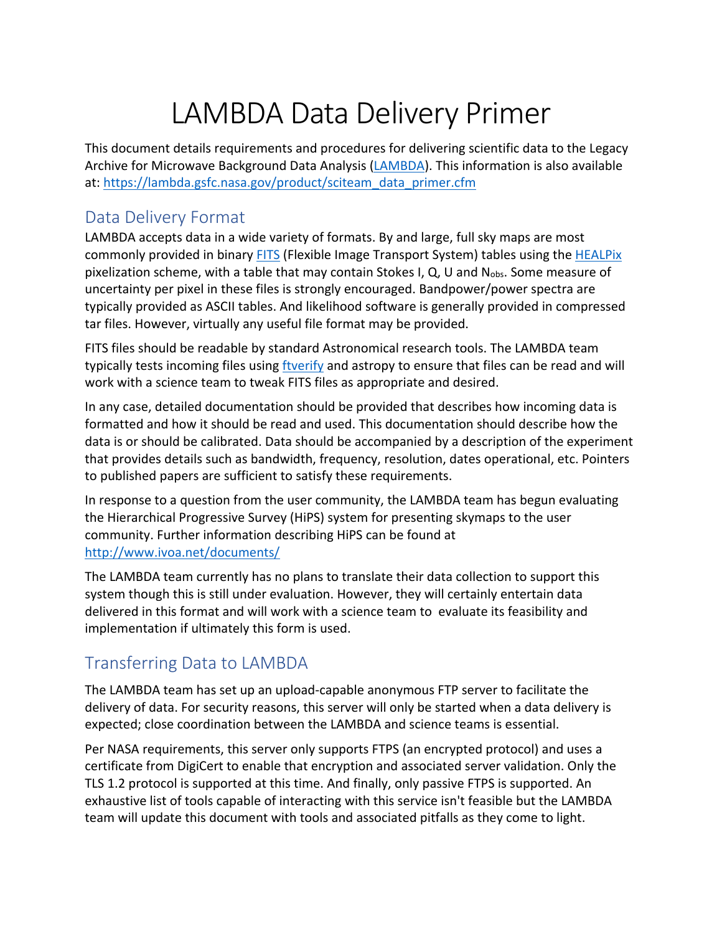# LAMBDA Data Delivery Primer

This document details requirements and procedures for delivering scientific data to the Legacy Archive for Microwave Background Data Analysis (LAMBDA). This information is also available at: https://lambda.gsfc.nasa.gov/product/sciteam\_data\_primer.cfm

### Data Delivery Format

LAMBDA accepts data in a wide variety of formats. By and large, full sky maps are most commonly provided in binary FITS (Flexible Image Transport System) tables using the HEALPix pixelization scheme, with a table that may contain Stokes I, Q, U and  $N_{obs}$ . Some measure of uncertainty per pixel in these files is strongly encouraged. Bandpower/power spectra are typically provided as ASCII tables. And likelihood software is generally provided in compressed tar files. However, virtually any useful file format may be provided.

FITS files should be readable by standard Astronomical research tools. The LAMBDA team typically tests incoming files using ftverify and astropy to ensure that files can be read and will work with a science team to tweak FITS files as appropriate and desired.

In any case, detailed documentation should be provided that describes how incoming data is formatted and how it should be read and used. This documentation should describe how the data is or should be calibrated. Data should be accompanied by a description of the experiment that provides details such as bandwidth, frequency, resolution, dates operational, etc. Pointers to published papers are sufficient to satisfy these requirements.

In response to a question from the user community, the LAMBDA team has begun evaluating the Hierarchical Progressive Survey (HiPS) system for presenting skymaps to the user community. Further information describing HiPS can be found at http://www.ivoa.net/documents/

The LAMBDA team currently has no plans to translate their data collection to support this system though this is still under evaluation. However, they will certainly entertain data delivered in this format and will work with a science team to evaluate its feasibility and implementation if ultimately this form is used.

## Transferring Data to LAMBDA

The LAMBDA team has set up an upload-capable anonymous FTP server to facilitate the delivery of data. For security reasons, this server will only be started when a data delivery is expected; close coordination between the LAMBDA and science teams is essential.

Per NASA requirements, this server only supports FTPS (an encrypted protocol) and uses a certificate from DigiCert to enable that encryption and associated server validation. Only the TLS 1.2 protocol is supported at this time. And finally, only passive FTPS is supported. An exhaustive list of tools capable of interacting with this service isn't feasible but the LAMBDA team will update this document with tools and associated pitfalls as they come to light.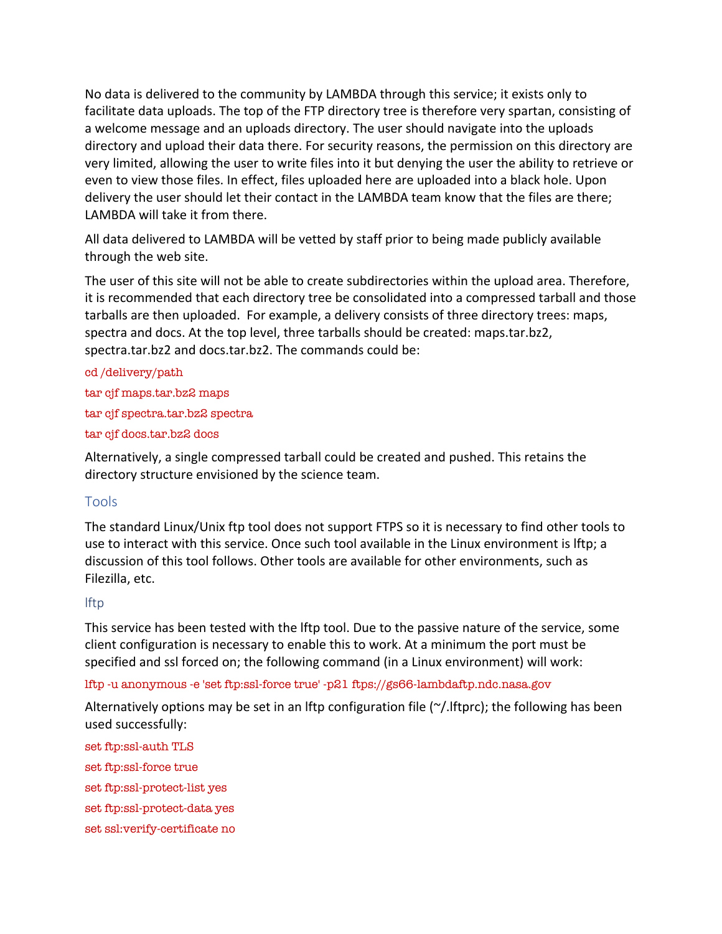No data is delivered to the community by LAMBDA through this service; it exists only to facilitate data uploads. The top of the FTP directory tree is therefore very spartan, consisting of a welcome message and an uploads directory. The user should navigate into the uploads directory and upload their data there. For security reasons, the permission on this directory are very limited, allowing the user to write files into it but denying the user the ability to retrieve or even to view those files. In effect, files uploaded here are uploaded into a black hole. Upon delivery the user should let their contact in the LAMBDA team know that the files are there; LAMBDA will take it from there.

All data delivered to LAMBDA will be vetted by staff prior to being made publicly available through the web site.

The user of this site will not be able to create subdirectories within the upload area. Therefore, it is recommended that each directory tree be consolidated into a compressed tarball and those tarballs are then uploaded. For example, a delivery consists of three directory trees: maps, spectra and docs. At the top level, three tarballs should be created: maps.tar.bz2, spectra.tar.bz2 and docs.tar.bz2. The commands could be:

cd /delivery/path tar cjf maps.tar.bz2 maps tar cjf spectra.tar.bz2 spectra tar cjf docs.tar.bz2 docs

Alternatively, a single compressed tarball could be created and pushed. This retains the directory structure envisioned by the science team.

#### Tools

The standard Linux/Unix ftp tool does not support FTPS so it is necessary to find other tools to use to interact with this service. Once such tool available in the Linux environment is lftp; a discussion of this tool follows. Other tools are available for other environments, such as Filezilla, etc.

#### lftp

This service has been tested with the lftp tool. Due to the passive nature of the service, some client configuration is necessary to enable this to work. At a minimum the port must be specified and ssl forced on; the following command (in a Linux environment) will work:

lftp -u anonymous -e 'set ftp:ssl-force true' -p21 ftps://gs66-lambdaftp.ndc.nasa.gov

Alternatively options may be set in an lftp configuration file ( $\gamma$ . Iftprc); the following has been used successfully:

set ftp:ssl-auth TLS set ftp:ssl-force true set ftp:ssl-protect-list yes set ftp:ssl-protect-data yes set ssl:verify-certificate no